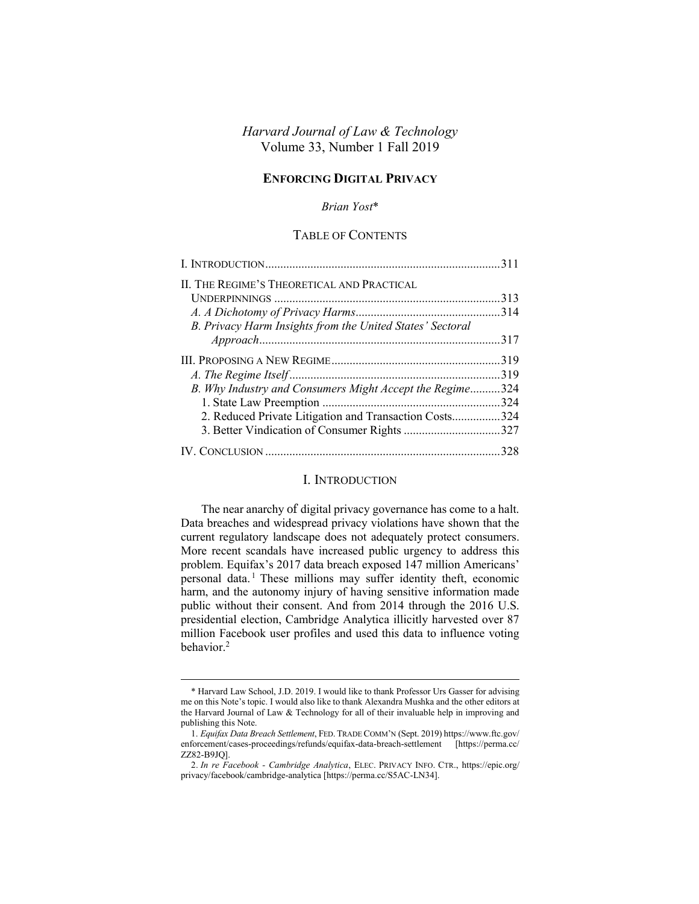# *Harvard Journal of Law & Technology* Volume 33, Number 1 Fall 2019

# **ENFORCING DIGITAL PRIVACY**

*Brian Yost*\*

# TABLE OF CONTENTS

| II. THE REGIME'S THEORETICAL AND PRACTICAL                |      |
|-----------------------------------------------------------|------|
|                                                           |      |
|                                                           |      |
| B. Privacy Harm Insights from the United States' Sectoral |      |
|                                                           |      |
|                                                           |      |
|                                                           | .319 |
| B. Why Industry and Consumers Might Accept the Regime     | 324  |
|                                                           |      |
| 2. Reduced Private Litigation and Transaction Costs324    |      |
|                                                           |      |
|                                                           | 328  |

### <span id="page-0-0"></span>I. INTRODUCTION

The near anarchy of digital privacy governance has come to a halt. Data breaches and widespread privacy violations have shown that the current regulatory landscape does not adequately protect consumers. More recent scandals have increased public urgency to address this problem. Equifax's 2017 data breach exposed 147 million Americans' personal data.<sup>1</sup> These millions may suffer identity theft, economic harm, and the autonomy injury of having sensitive information made public without their consent. And from 2014 through the 2016 U.S. presidential election, Cambridge Analytica illicitly harvested over 87 million Facebook user profiles and used this data to influence voting behavior.<sup>2</sup>

<sup>\*</sup> Harvard Law School, J.D. 2019. I would like to thank Professor Urs Gasser for advising me on this Note's topic. I would also like to thank Alexandra Mushka and the other editors at the Harvard Journal of Law & Technology for all of their invaluable help in improving and publishing this Note.

<sup>1.</sup> *Equifax Data Breach Settlement*, FED. TRADE COMM'N (Sept. 2019) https://www.ftc.gov/ enforcement/cases-proceedings/refunds/equifax-data-breach-settlement [https://perma.cc/ ZZ82-B9JQ].

<sup>2.</sup> *In re Facebook - Cambridge Analytica*, ELEC. PRIVACY INFO. CTR., https://epic.org/ privacy/facebook/cambridge-analytica [https://perma.cc/S5AC-LN34].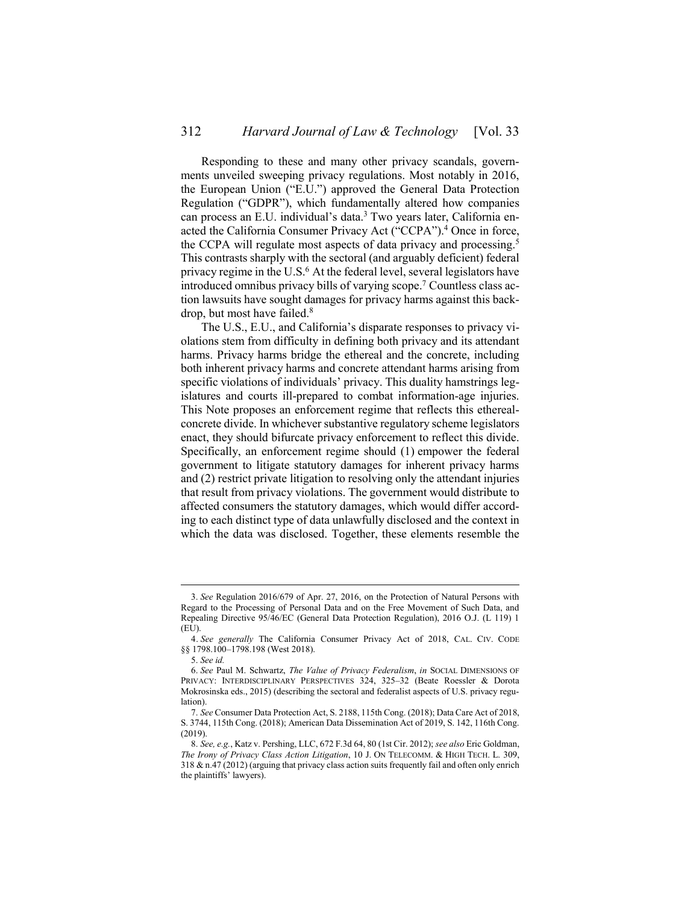Responding to these and many other privacy scandals, governments unveiled sweeping privacy regulations. Most notably in 2016, the European Union ("E.U.") approved the General Data Protection Regulation ("GDPR"), which fundamentally altered how companies can process an E.U. individual's data.<sup>3</sup> Two years later, California enacted the California Consumer Privacy Act ("CCPA").<sup>4</sup> Once in force, the CCPA will regulate most aspects of data privacy and processing.<sup>5</sup> This contrasts sharply with the sectoral (and arguably deficient) federal privacy regime in the  $U.S.^6$  At the federal level, several legislators have introduced omnibus privacy bills of varying scope.<sup>7</sup> Countless class action lawsuits have sought damages for privacy harms against this backdrop, but most have failed.<sup>8</sup>

<span id="page-1-1"></span><span id="page-1-0"></span>The U.S., E.U., and California's disparate responses to privacy violations stem from difficulty in defining both privacy and its attendant harms. Privacy harms bridge the ethereal and the concrete, including both inherent privacy harms and concrete attendant harms arising from specific violations of individuals' privacy. This duality hamstrings legislatures and courts ill-prepared to combat information-age injuries. This Note proposes an enforcement regime that reflects this etherealconcrete divide. In whichever substantive regulatory scheme legislators enact, they should bifurcate privacy enforcement to reflect this divide. Specifically, an enforcement regime should (1) empower the federal government to litigate statutory damages for inherent privacy harms and (2) restrict private litigation to resolving only the attendant injuries that result from privacy violations. The government would distribute to affected consumers the statutory damages, which would differ according to each distinct type of data unlawfully disclosed and the context in which the data was disclosed. Together, these elements resemble the

<sup>3.</sup> *See* Regulation 2016/679 of Apr. 27, 2016, on the Protection of Natural Persons with Regard to the Processing of Personal Data and on the Free Movement of Such Data, and Repealing Directive 95/46/EC (General Data Protection Regulation), 2016 O.J. (L 119) 1 (EU).

<sup>4.</sup> *See generally* The California Consumer Privacy Act of 2018, CAL. CIV. CODE §§ 1798.100–1798.198 (West 2018).

<sup>5.</sup> *See id.*

<sup>6.</sup> *See* Paul M. Schwartz, *The Value of Privacy Federalism*, *in* SOCIAL DIMENSIONS OF PRIVACY: INTERDISCIPLINARY PERSPECTIVES 324, 325–32 (Beate Roessler & Dorota Mokrosinska eds., 2015) (describing the sectoral and federalist aspects of U.S. privacy regulation).

<sup>7.</sup> *See* Consumer Data Protection Act, S. 2188, 115th Cong. (2018); Data Care Act of 2018, S. 3744, 115th Cong. (2018); American Data Dissemination Act of 2019, S. 142, 116th Cong. (2019).

<sup>8.</sup> *See, e.g.*, Katz v. Pershing, LLC, 672 F.3d 64, 80 (1st Cir. 2012); *see also* Eric Goldman, *The Irony of Privacy Class Action Litigation*, 10 J. ON TELECOMM. & HIGH TECH. L. 309, 318 & n.47 (2012) (arguing that privacy class action suits frequently fail and often only enrich the plaintiffs' lawyers).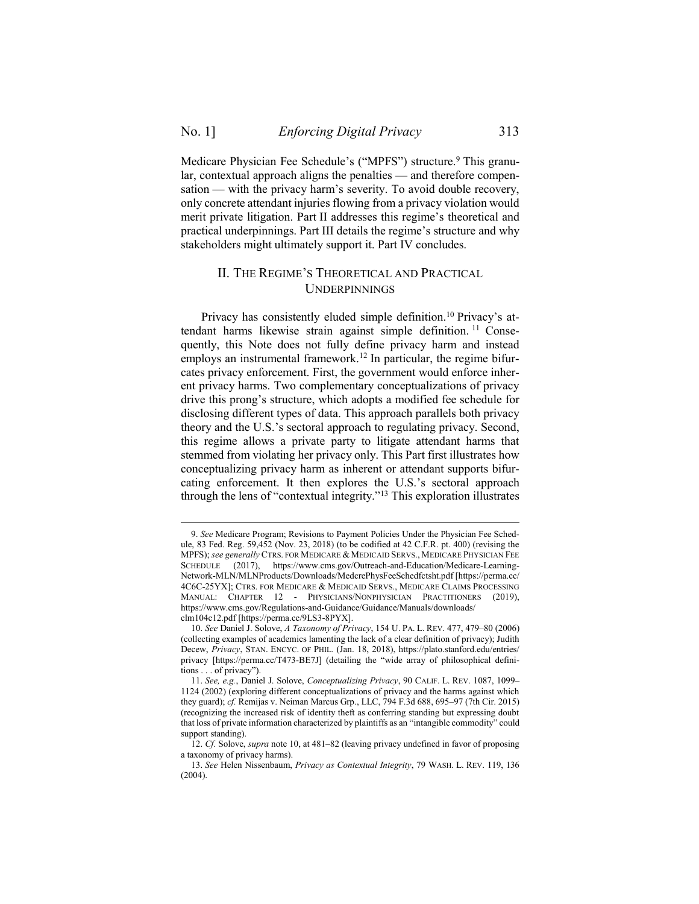<span id="page-2-2"></span> $\overline{a}$ 

Medicare Physician Fee Schedule's ("MPFS") structure.<sup>9</sup> This granular, contextual approach aligns the penalties — and therefore compensation — with the privacy harm's severity. To avoid double recovery, only concrete attendant injuries flowing from a privacy violation would merit private litigation. Part [II](#page-2-0) addresses this regime's theoretical and practical underpinnings. Part [III](#page-8-0) details the regime's structure and why stakeholders might ultimately support it. Part [IV](#page-17-0) concludes.

# <span id="page-2-1"></span><span id="page-2-0"></span>II. THE REGIME'S THEORETICAL AND PRACTICAL UNDERPINNINGS

Privacy has consistently eluded simple definition.<sup>10</sup> Privacy's attendant harms likewise strain against simple definition. <sup>11</sup> Consequently, this Note does not fully define privacy harm and instead employs an instrumental framework.<sup>12</sup> In particular, the regime bifurcates privacy enforcement. First, the government would enforce inherent privacy harms. Two complementary conceptualizations of privacy drive this prong's structure, which adopts a modified fee schedule for disclosing different types of data. This approach parallels both privacy theory and the U.S.'s sectoral approach to regulating privacy. Second, this regime allows a private party to litigate attendant harms that stemmed from violating her privacy only. This Part first illustrates how conceptualizing privacy harm as inherent or attendant supports bifurcating enforcement. It then explores the U.S.'s sectoral approach through the lens of "contextual integrity." <sup>13</sup> This exploration illustrates

<sup>9.</sup> *See* Medicare Program; Revisions to Payment Policies Under the Physician Fee Schedule, 83 Fed. Reg. 59,452 (Nov. 23, 2018) (to be codified at 42 C.F.R. pt. 400) (revising the MPFS); *see generally* CTRS. FOR MEDICARE &MEDICAID SERVS., MEDICARE PHYSICIAN FEE SCHEDULE (2017), https://www.cms.gov/Outreach-and-Education/Medicare-Learning-Network-MLN/MLNProducts/Downloads/MedcrePhysFeeSchedfctsht.pdf [https://perma.cc/ 4C6C-25YX]; CTRS. FOR MEDICARE & MEDICAID SERVS., MEDICARE CLAIMS PROCESSING MANUAL: CHAPTER 12 - PHYSICIANS/NONPHYSICIAN PRACTITIONERS (2019), https://www.cms.gov/Regulations-and-Guidance/Guidance/Manuals/downloads/ clm104c12.pdf [https://perma.cc/9LS3-8PYX].

<sup>10.</sup> *See* Daniel J. Solove, *A Taxonomy of Privacy*, 154 U. PA. L. REV. 477, 479–80 (2006) (collecting examples of academics lamenting the lack of a clear definition of privacy); Judith Decew, *Privacy*, STAN. ENCYC. OF PHIL. (Jan. 18, 2018), https://plato.stanford.edu/entries/ privacy [https://perma.cc/T473-BE7J] (detailing the "wide array of philosophical definitions . . . of privacy").

<sup>11.</sup> *See, e.g.*, Daniel J. Solove, *Conceptualizing Privacy*, 90 CALIF. L. REV. 1087, 1099– 1124 (2002) (exploring different conceptualizations of privacy and the harms against which they guard); *cf.* Remijas v. Neiman Marcus Grp., LLC, 794 F.3d 688, 695–97 (7th Cir. 2015) (recognizing the increased risk of identity theft as conferring standing but expressing doubt that loss of private information characterized by plaintiffs as an "intangible commodity" could support standing).

<sup>12.</sup> *Cf.* Solove, *supra* not[e 10,](#page-2-1) at 481–82 (leaving privacy undefined in favor of proposing a taxonomy of privacy harms).

<sup>13.</sup> *See* Helen Nissenbaum, *Privacy as Contextual Integrity*, 79 WASH. L. REV. 119, 136 (2004).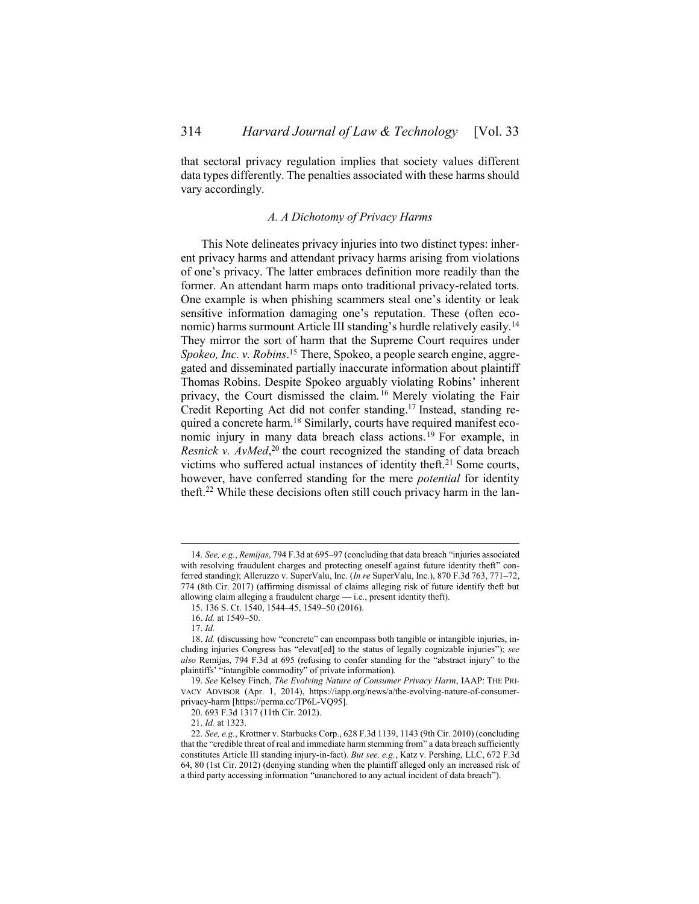<span id="page-3-0"></span>that sectoral privacy regulation implies that society values different data types differently. The penalties associated with these harms should vary accordingly.

#### *A. A Dichotomy of Privacy Harms*

This Note delineates privacy injuries into two distinct types: inherent privacy harms and attendant privacy harms arising from violations of one's privacy. The latter embraces definition more readily than the former. An attendant harm maps onto traditional privacy-related torts. One example is when phishing scammers steal one's identity or leak sensitive information damaging one's reputation. These (often economic) harms surmount Article III standing's hurdle relatively easily.<sup>14</sup> They mirror the sort of harm that the Supreme Court requires under Spokeo, Inc. v. Robins.<sup>15</sup> There, Spokeo, a people search engine, aggregated and disseminated partially inaccurate information about plaintiff Thomas Robins. Despite Spokeo arguably violating Robins' inherent privacy, the Court dismissed the claim.<sup>16</sup> Merely violating the Fair Credit Reporting Act did not confer standing.<sup>17</sup> Instead, standing required a concrete harm.<sup>18</sup> Similarly, courts have required manifest economic injury in many data breach class actions.<sup>19</sup> For example, in Resnick v. AvMed,<sup>20</sup> the court recognized the standing of data breach victims who suffered actual instances of identity theft.<sup>21</sup> Some courts, however, have conferred standing for the mere *potential* for identity theft.<sup>22</sup> While these decisions often still couch privacy harm in the lan-

<sup>14.</sup> *See, e.g.*, *Remijas*, 794 F.3d at 695–97 (concluding that data breach "injuries associated with resolving fraudulent charges and protecting oneself against future identity theft" conferred standing); Alleruzzo v. SuperValu, Inc. (*In re* SuperValu, Inc.), 870 F.3d 763, 771–72, 774 (8th Cir. 2017) (affirming dismissal of claims alleging risk of future identify theft but allowing claim alleging a fraudulent charge — i.e., present identity theft).

<sup>15.</sup> 136 S. Ct. 1540, 1544–45, 1549–50 (2016).

<sup>16.</sup> *Id.* at 1549–50.

<sup>17.</sup> *Id.*

<sup>18.</sup> *Id.* (discussing how "concrete" can encompass both tangible or intangible injuries, including injuries Congress has "elevat[ed] to the status of legally cognizable injuries"); *see also* Remijas, 794 F.3d at 695 (refusing to confer standing for the "abstract injury" to the plaintiffs' "intangible commodity" of private information).

<sup>19.</sup> *See* Kelsey Finch, *The Evolving Nature of Consumer Privacy Harm*, IAAP: THE PRI-VACY ADVISOR (Apr. 1, 2014), https://iapp.org/news/a/the-evolving-nature-of-consumerprivacy-harm [https://perma.cc/TP6L-VQ95].

<sup>20.</sup> 693 F.3d 1317 (11th Cir. 2012).

<sup>21.</sup> *Id.* at 1323.

<sup>22.</sup> *See, e.g.*, Krottner v. Starbucks Corp., 628 F.3d 1139, 1143 (9th Cir. 2010) (concluding that the "credible threat of real and immediate harm stemming from" a data breach sufficiently constitutes Article III standing injury-in-fact). *But see, e.g.*, Katz v. Pershing, LLC, 672 F.3d 64, 80 (1st Cir. 2012) (denying standing when the plaintiff alleged only an increased risk of a third party accessing information "unanchored to any actual incident of data breach").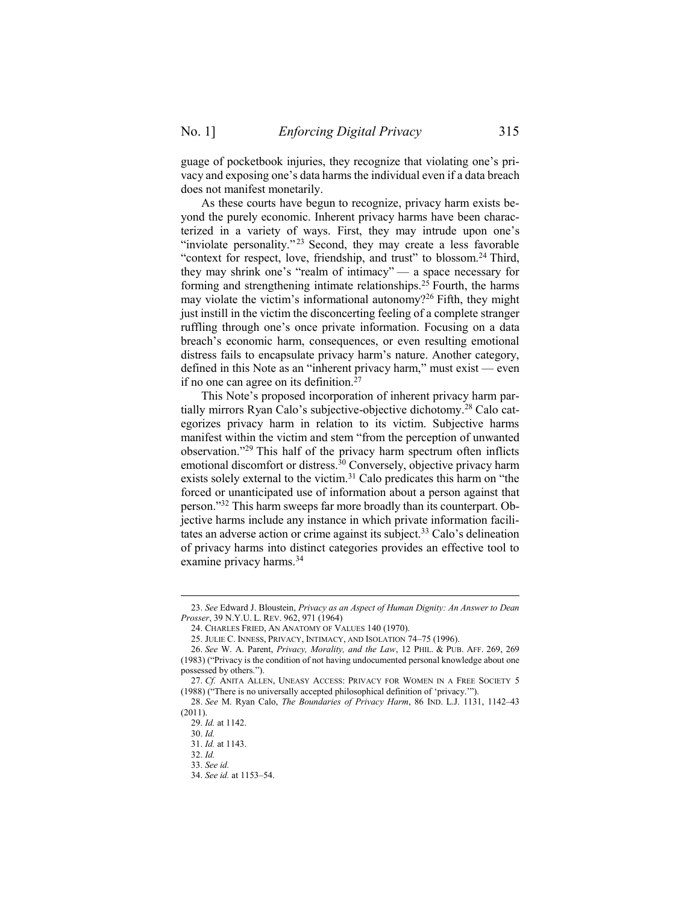guage of pocketbook injuries, they recognize that violating one's privacy and exposing one's data harms the individual even if a data breach does not manifest monetarily.

As these courts have begun to recognize, privacy harm exists beyond the purely economic. Inherent privacy harms have been characterized in a variety of ways. First, they may intrude upon one's "inviolate personality."<sup>23</sup> Second, they may create a less favorable "context for respect, love, friendship, and trust" to blossom.<sup>24</sup> Third, they may shrink one's "realm of intimacy" — a space necessary for forming and strengthening intimate relationships.<sup>25</sup> Fourth, the harms may violate the victim's informational autonomy?<sup>26</sup> Fifth, they might just instill in the victim the disconcerting feeling of a complete stranger ruffling through one's once private information. Focusing on a data breach's economic harm, consequences, or even resulting emotional distress fails to encapsulate privacy harm's nature. Another category, defined in this Note as an "inherent privacy harm," must exist — even if no one can agree on its definition. $27$ 

This Note's proposed incorporation of inherent privacy harm partially mirrors Ryan Calo's subjective-objective dichotomy.<sup>28</sup> Calo categorizes privacy harm in relation to its victim. Subjective harms manifest within the victim and stem "from the perception of unwanted observation." <sup>29</sup> This half of the privacy harm spectrum often inflicts emotional discomfort or distress.<sup>30</sup> Conversely, objective privacy harm exists solely external to the victim.<sup>31</sup> Calo predicates this harm on "the forced or unanticipated use of information about a person against that person." <sup>32</sup> This harm sweeps far more broadly than its counterpart. Objective harms include any instance in which private information facilitates an adverse action or crime against its subject.<sup>33</sup> Calo's delineation of privacy harms into distinct categories provides an effective tool to examine privacy harms.<sup>34</sup>

<sup>23.</sup> *See* Edward J. Bloustein, *Privacy as an Aspect of Human Dignity: An Answer to Dean Prosser*, 39 N.Y.U. L. REV. 962, 971 (1964)

<sup>24.</sup> CHARLES FRIED, AN ANATOMY OF VALUES 140 (1970).

<sup>25.</sup> JULIE C. INNESS, PRIVACY, INTIMACY, AND ISOLATION 74–75 (1996).

<sup>26.</sup> *See* W. A. Parent, *Privacy, Morality, and the Law*, 12 PHIL. & PUB. AFF. 269, 269 (1983) ("Privacy is the condition of not having undocumented personal knowledge about one possessed by others.").

<sup>27.</sup> *Cf.* ANITA ALLEN, UNEASY ACCESS: PRIVACY FOR WOMEN IN A FREE SOCIETY 5 (1988) ("There is no universally accepted philosophical definition of 'privacy.'").

<sup>28.</sup> *See* M. Ryan Calo, *The Boundaries of Privacy Harm*, 86 IND. L.J. 1131, 1142–43 (2011).

<sup>29.</sup> *Id.* at 1142.

<sup>30.</sup> *Id.*

<sup>31.</sup> *Id.* at 1143.

<sup>32.</sup> *Id.*  33. *See id.*

<sup>34.</sup> *See id.* at 1153–54.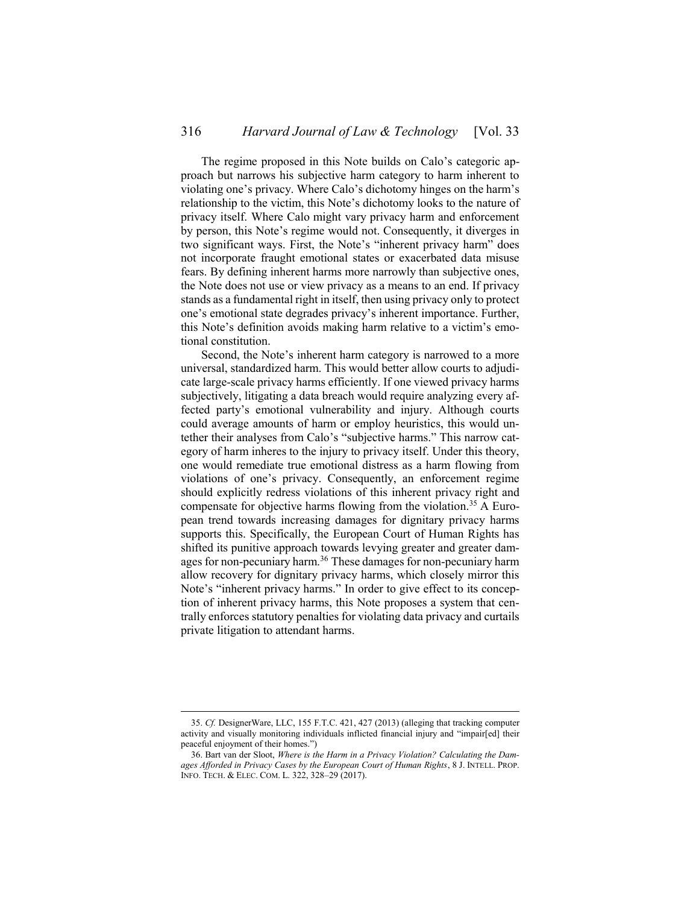The regime proposed in this Note builds on Calo's categoric approach but narrows his subjective harm category to harm inherent to violating one's privacy. Where Calo's dichotomy hinges on the harm's relationship to the victim, this Note's dichotomy looks to the nature of privacy itself. Where Calo might vary privacy harm and enforcement by person, this Note's regime would not. Consequently, it diverges in two significant ways. First, the Note's "inherent privacy harm" does not incorporate fraught emotional states or exacerbated data misuse fears. By defining inherent harms more narrowly than subjective ones, the Note does not use or view privacy as a means to an end. If privacy stands as a fundamental right in itself, then using privacy only to protect one's emotional state degrades privacy's inherent importance. Further, this Note's definition avoids making harm relative to a victim's emotional constitution.

Second, the Note's inherent harm category is narrowed to a more universal, standardized harm. This would better allow courts to adjudicate large-scale privacy harms efficiently. If one viewed privacy harms subjectively, litigating a data breach would require analyzing every affected party's emotional vulnerability and injury. Although courts could average amounts of harm or employ heuristics, this would untether their analyses from Calo's "subjective harms." This narrow category of harm inheres to the injury to privacy itself. Under this theory, one would remediate true emotional distress as a harm flowing from violations of one's privacy. Consequently, an enforcement regime should explicitly redress violations of this inherent privacy right and compensate for objective harms flowing from the violation.<sup>35</sup> A European trend towards increasing damages for dignitary privacy harms supports this. Specifically, the European Court of Human Rights has shifted its punitive approach towards levying greater and greater damages for non-pecuniary harm.<sup>36</sup> These damages for non-pecuniary harm allow recovery for dignitary privacy harms, which closely mirror this Note's "inherent privacy harms." In order to give effect to its conception of inherent privacy harms, this Note proposes a system that centrally enforces statutory penalties for violating data privacy and curtails private litigation to attendant harms.

<sup>35.</sup> *Cf.* DesignerWare, LLC, 155 F.T.C. 421, 427 (2013) (alleging that tracking computer activity and visually monitoring individuals inflicted financial injury and "impair[ed] their peaceful enjoyment of their homes.")

<sup>36.</sup> Bart van der Sloot, *Where is the Harm in a Privacy Violation? Calculating the Damages Afforded in Privacy Cases by the European Court of Human Rights*, 8 J. INTELL. PROP. INFO. TECH. & ELEC. COM. L. 322, 328–29 (2017).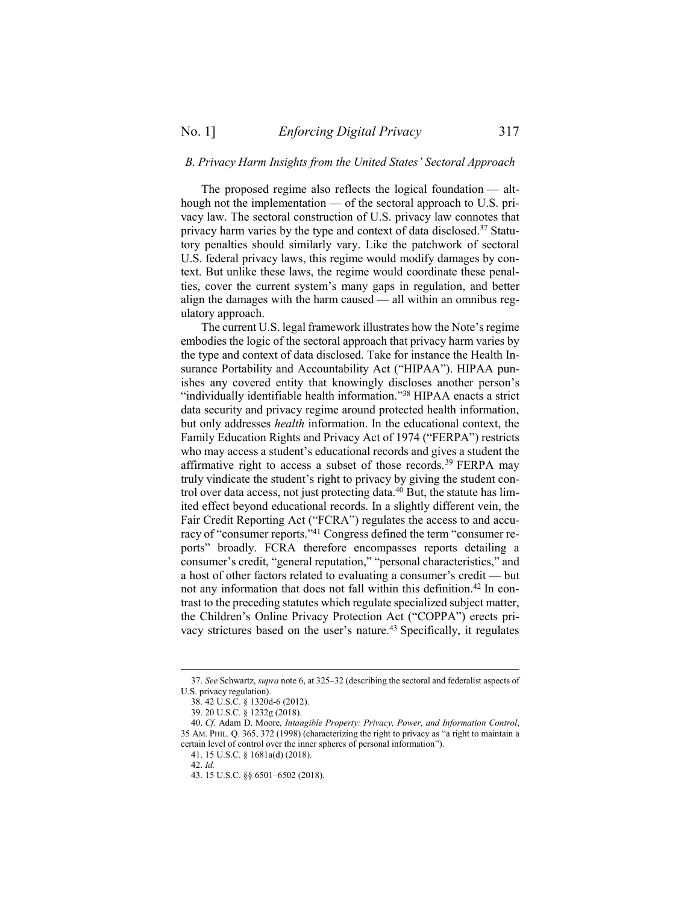### <span id="page-6-0"></span>*B. Privacy Harm Insights from the United States' Sectoral Approach*

The proposed regime also reflects the logical foundation — although not the implementation — of the sectoral approach to U.S. privacy law. The sectoral construction of U.S. privacy law connotes that privacy harm varies by the type and context of data disclosed.<sup>37</sup> Statutory penalties should similarly vary. Like the patchwork of sectoral U.S. federal privacy laws, this regime would modify damages by context. But unlike these laws, the regime would coordinate these penalties, cover the current system's many gaps in regulation, and better align the damages with the harm caused — all within an omnibus regulatory approach.

The current U.S. legal framework illustrates how the Note's regime embodies the logic of the sectoral approach that privacy harm varies by the type and context of data disclosed. Take for instance the Health Insurance Portability and Accountability Act ("HIPAA"). HIPAA punishes any covered entity that knowingly discloses another person's "individually identifiable health information."<sup>38</sup> HIPAA enacts a strict data security and privacy regime around protected health information, but only addresses *health* information. In the educational context, the Family Education Rights and Privacy Act of 1974 ("FERPA") restricts who may access a student's educational records and gives a student the affirmative right to access a subset of those records.<sup>39</sup> FERPA may truly vindicate the student's right to privacy by giving the student control over data access, not just protecting data.<sup>40</sup> But, the statute has limited effect beyond educational records. In a slightly different vein, the Fair Credit Reporting Act ("FCRA") regulates the access to and accuracy of "consumer reports."<sup>41</sup> Congress defined the term "consumer reports" broadly. FCRA therefore encompasses reports detailing a consumer's credit, "general reputation," "personal characteristics," and a host of other factors related to evaluating a consumer's credit — but not any information that does not fall within this definition.<sup>42</sup> In contrast to the preceding statutes which regulate specialized subject matter, the Children's Online Privacy Protection Act ("COPPA") erects privacy strictures based on the user's nature.<sup>43</sup> Specifically, it regulates

<sup>37.</sup> *See* Schwartz, *supra* not[e 6,](#page-1-0) at 325–32 (describing the sectoral and federalist aspects of U.S. privacy regulation).

<sup>38.</sup> 42 U.S.C. § 1320d-6 (2012).

<sup>39.</sup> 20 U.S.C. § 1232g (2018).

<sup>40.</sup> *Cf.* Adam D. Moore, *Intangible Property: Privacy, Power, and Information Control*, 35 AM. PHIL. Q. 365, 372 (1998) (characterizing the right to privacy as "a right to maintain a certain level of control over the inner spheres of personal information").

<sup>41.</sup> 15 U.S.C. § 1681a(d) (2018).

<sup>42.</sup> *Id.*

<sup>43.</sup> 15 U.S.C. §§ 6501–6502 (2018).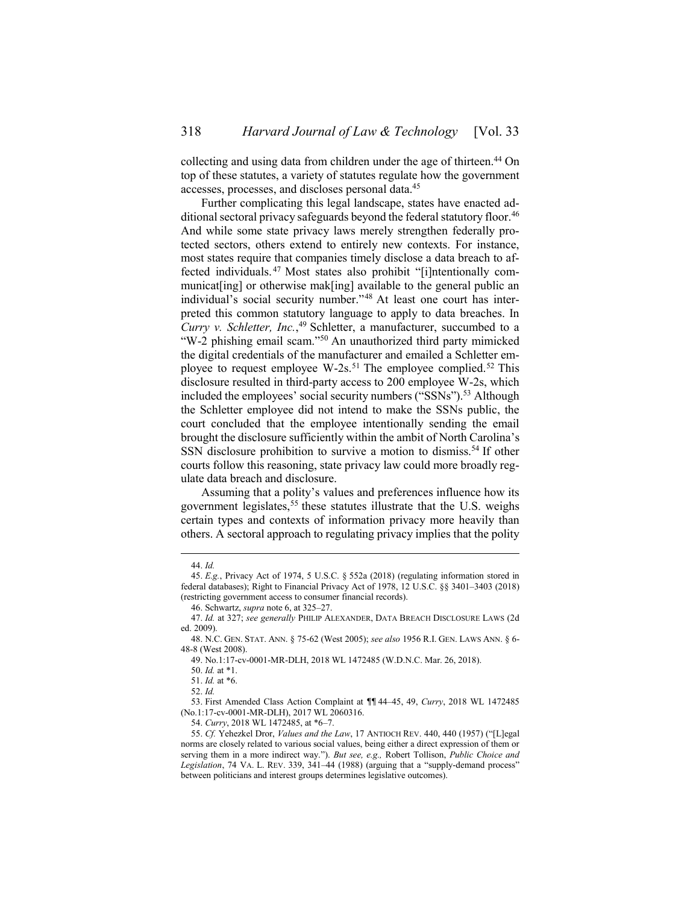collecting and using data from children under the age of thirteen. <sup>44</sup> On top of these statutes, a variety of statutes regulate how the government accesses, processes, and discloses personal data.<sup>45</sup>

Further complicating this legal landscape, states have enacted additional sectoral privacy safeguards beyond the federal statutory floor.<sup>46</sup> And while some state privacy laws merely strengthen federally protected sectors, others extend to entirely new contexts. For instance, most states require that companies timely disclose a data breach to affected individuals. <sup>47</sup> Most states also prohibit "[i]ntentionally communicat[ing] or otherwise mak[ing] available to the general public an individual's social security number."<sup>48</sup> At least one court has interpreted this common statutory language to apply to data breaches. In *Curry v. Schletter, Inc.*, <sup>49</sup> Schletter, a manufacturer, succumbed to a "W-2 phishing email scam."<sup>50</sup> An unauthorized third party mimicked the digital credentials of the manufacturer and emailed a Schletter employee to request employee W-2s.<sup>51</sup> The employee complied.<sup>52</sup> This disclosure resulted in third-party access to 200 employee W-2s, which included the employees' social security numbers ("SSNs"). <sup>53</sup> Although the Schletter employee did not intend to make the SSNs public, the court concluded that the employee intentionally sending the email brought the disclosure sufficiently within the ambit of North Carolina's SSN disclosure prohibition to survive a motion to dismiss.<sup>54</sup> If other courts follow this reasoning, state privacy law could more broadly regulate data breach and disclosure.

Assuming that a polity's values and preferences influence how its government legislates,<sup>55</sup> these statutes illustrate that the U.S. weighs certain types and contexts of information privacy more heavily than others. A sectoral approach to regulating privacy implies that the polity

<sup>44.</sup> *Id.*

<sup>45.</sup> *E.g.*, Privacy Act of 1974, 5 U.S.C. § 552a (2018) (regulating information stored in federal databases); Right to Financial Privacy Act of 1978, 12 U.S.C. §§ 3401–3403 (2018) (restricting government access to consumer financial records).

<sup>46.</sup> Schwartz, *supra* note [6,](#page-1-0) at 325–27.

<sup>47.</sup> *Id.* at 327; *see generally* PHILIP ALEXANDER, DATA BREACH DISCLOSURE LAWS (2d ed. 2009).

<sup>48.</sup> N.C. GEN. STAT. ANN. § 75-62 (West 2005); *see also* 1956 R.I. GEN. LAWS ANN. § 6- 48-8 (West 2008).

<sup>49.</sup> No.1:17-cv-0001-MR-DLH, 2018 WL 1472485 (W.D.N.C. Mar. 26, 2018).

<sup>50.</sup> *Id.* at \*1.

<sup>51.</sup> *Id.* at \*6.

<sup>52.</sup> *Id.*

<sup>53.</sup> First Amended Class Action Complaint at ¶¶ 44–45, 49, *Curry*, 2018 WL 1472485 (No.1:17-cv-0001-MR-DLH), 2017 WL 2060316.

<sup>54.</sup> *Curry*, 2018 WL 1472485, at \*6–7.

<sup>55.</sup> *Cf.* Yehezkel Dror, *Values and the Law*, 17 ANTIOCH REV. 440, 440 (1957) ("[L]egal norms are closely related to various social values, being either a direct expression of them or serving them in a more indirect way."). *But see, e.g.,* Robert Tollison, *Public Choice and Legislation*, 74 VA. L. REV. 339, 341–44 (1988) (arguing that a "supply-demand process" between politicians and interest groups determines legislative outcomes).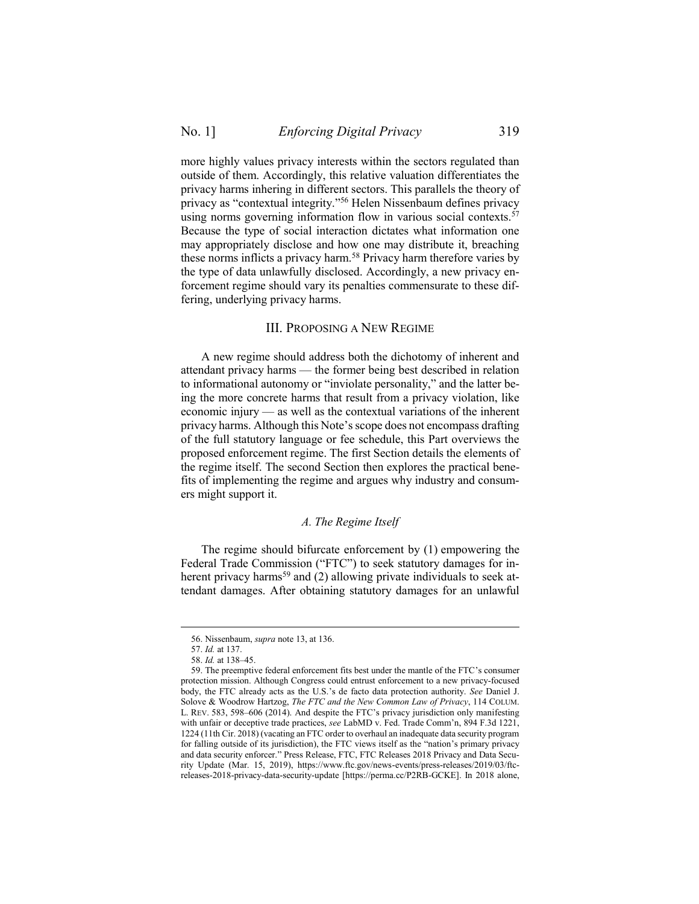more highly values privacy interests within the sectors regulated than outside of them. Accordingly, this relative valuation differentiates the privacy harms inhering in different sectors. This parallels the theory of privacy as "contextual integrity." <sup>56</sup> Helen Nissenbaum defines privacy using norms governing information flow in various social contexts.<sup>57</sup> Because the type of social interaction dictates what information one may appropriately disclose and how one may distribute it, breaching these norms inflicts a privacy harm.<sup>58</sup> Privacy harm therefore varies by the type of data unlawfully disclosed. Accordingly, a new privacy enforcement regime should vary its penalties commensurate to these differing, underlying privacy harms.

#### III. PROPOSING A NEW REGIME

<span id="page-8-0"></span>A new regime should address both the dichotomy of inherent and attendant privacy harms — the former being best described in relation to informational autonomy or "inviolate personality," and the latter being the more concrete harms that result from a privacy violation, like economic injury — as well as the contextual variations of the inherent privacy harms. Although this Note's scope does not encompass drafting of the full statutory language or fee schedule, this Part overviews the proposed enforcement regime. The first Section details the elements of the regime itself. The second Section then explores the practical benefits of implementing the regime and argues why industry and consumers might support it.

## *A. The Regime Itself*

<span id="page-8-1"></span>The regime should bifurcate enforcement by (1) empowering the Federal Trade Commission ("FTC") to seek statutory damages for inherent privacy harms<sup>59</sup> and (2) allowing private individuals to seek attendant damages. After obtaining statutory damages for an unlawful

<sup>56.</sup> Nissenbaum, *supra* not[e 13,](#page-2-2) at 136.

<sup>57.</sup> *Id.* at 137.

<sup>58.</sup> *Id.* at 138–45.

<sup>59.</sup> The preemptive federal enforcement fits best under the mantle of the FTC's consumer protection mission. Although Congress could entrust enforcement to a new privacy-focused body, the FTC already acts as the U.S.'s de facto data protection authority. *See* Daniel J. Solove & Woodrow Hartzog, *The FTC and the New Common Law of Privacy*, 114 COLUM. L. REV. 583, 598–606 (2014). And despite the FTC's privacy jurisdiction only manifesting with unfair or deceptive trade practices, *see* LabMD v. Fed. Trade Comm'n, 894 F.3d 1221, 1224 (11th Cir. 2018) (vacating an FTC order to overhaul an inadequate data security program for falling outside of its jurisdiction), the FTC views itself as the "nation's primary privacy and data security enforcer." Press Release, FTC, FTC Releases 2018 Privacy and Data Security Update (Mar. 15, 2019), https://www.ftc.gov/news-events/press-releases/2019/03/ftcreleases-2018-privacy-data-security-update [https://perma.cc/P2RB-GCKE]. In 2018 alone,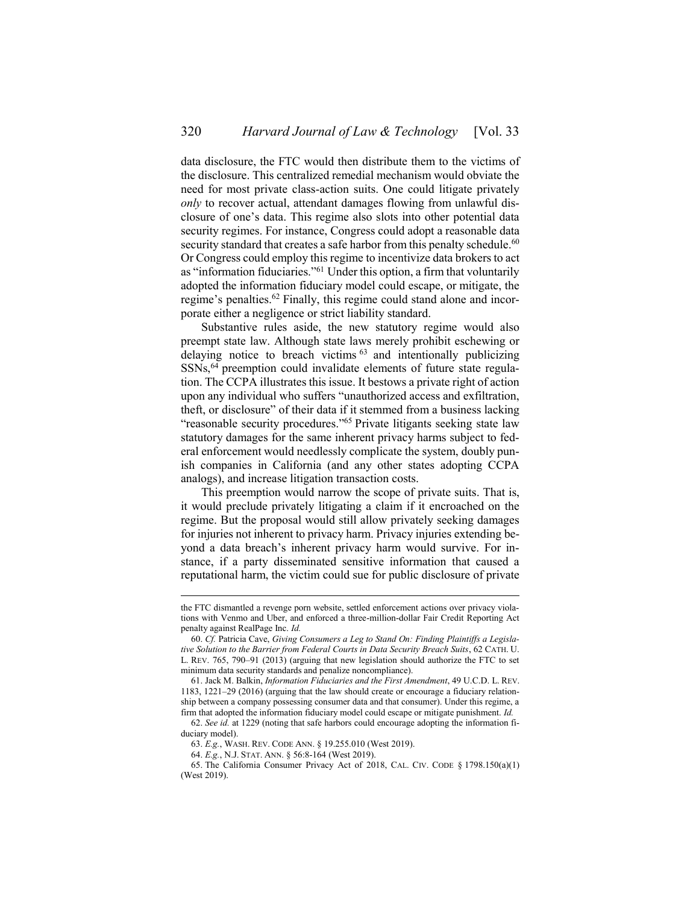<span id="page-9-0"></span>data disclosure, the FTC would then distribute them to the victims of the disclosure. This centralized remedial mechanism would obviate the need for most private class-action suits. One could litigate privately *only* to recover actual, attendant damages flowing from unlawful disclosure of one's data. This regime also slots into other potential data security regimes. For instance, Congress could adopt a reasonable data security standard that creates a safe harbor from this penalty schedule.<sup>60</sup> Or Congress could employ this regime to incentivize data brokers to act as "information fiduciaries."<sup>61</sup> Under this option, a firm that voluntarily adopted the information fiduciary model could escape, or mitigate, the regime's penalties.<sup>62</sup> Finally, this regime could stand alone and incorporate either a negligence or strict liability standard.

<span id="page-9-1"></span>Substantive rules aside, the new statutory regime would also preempt state law. Although state laws merely prohibit eschewing or delaying notice to breach victims <sup>63</sup> and intentionally publicizing SSNs,<sup>64</sup> preemption could invalidate elements of future state regulation. The CCPA illustrates this issue. It bestows a private right of action upon any individual who suffers "unauthorized access and exfiltration, theft, or disclosure" of their data if it stemmed from a business lacking "reasonable security procedures."<sup>65</sup> Private litigants seeking state law statutory damages for the same inherent privacy harms subject to federal enforcement would needlessly complicate the system, doubly punish companies in California (and any other states adopting CCPA analogs), and increase litigation transaction costs.

This preemption would narrow the scope of private suits. That is, it would preclude privately litigating a claim if it encroached on the regime. But the proposal would still allow privately seeking damages for injuries not inherent to privacy harm. Privacy injuries extending beyond a data breach's inherent privacy harm would survive. For instance, if a party disseminated sensitive information that caused a reputational harm, the victim could sue for public disclosure of private

the FTC dismantled a revenge porn website, settled enforcement actions over privacy violations with Venmo and Uber, and enforced a three-million-dollar Fair Credit Reporting Act penalty against RealPage Inc. *Id.*

<sup>60.</sup> *Cf.* Patricia Cave, *Giving Consumers a Leg to Stand On: Finding Plaintiffs a Legislative Solution to the Barrier from Federal Courts in Data Security Breach Suits*, 62 CATH. U. L. REV. 765, 790–91 (2013) (arguing that new legislation should authorize the FTC to set minimum data security standards and penalize noncompliance).

<sup>61.</sup> Jack M. Balkin, *Information Fiduciaries and the First Amendment*, 49 U.C.D. L. REV. 1183, 1221–29 (2016) (arguing that the law should create or encourage a fiduciary relationship between a company possessing consumer data and that consumer). Under this regime, a firm that adopted the information fiduciary model could escape or mitigate punishment. *Id.*

<sup>62.</sup> *See id.* at 1229 (noting that safe harbors could encourage adopting the information fiduciary model).

<sup>63.</sup> *E.g.*, WASH. REV. CODE ANN. § 19.255.010 (West 2019).

<sup>64.</sup> *E.g.*, N.J. STAT. ANN. § 56:8-164 (West 2019).

<sup>65.</sup> The California Consumer Privacy Act of 2018, CAL. CIV. CODE § 1798.150(a)(1) (West 2019).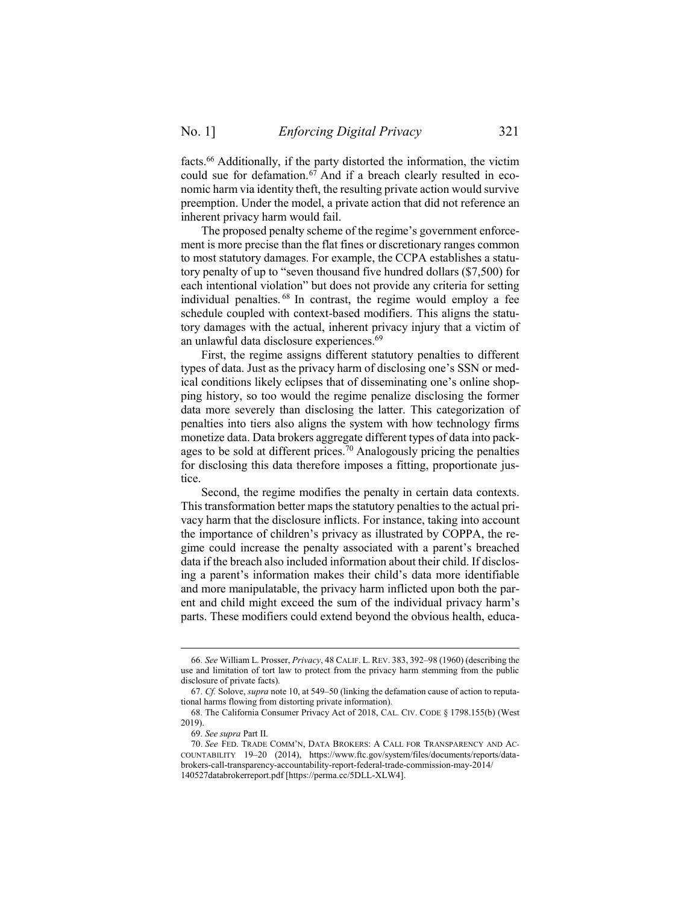facts.<sup>66</sup> Additionally, if the party distorted the information, the victim could sue for defamation.<sup>67</sup> And if a breach clearly resulted in economic harm via identity theft, the resulting private action would survive preemption. Under the model, a private action that did not reference an inherent privacy harm would fail.

The proposed penalty scheme of the regime's government enforcement is more precise than the flat fines or discretionary ranges common to most statutory damages. For example, the CCPA establishes a statutory penalty of up to "seven thousand five hundred dollars (\$7,500) for each intentional violation" but does not provide any criteria for setting individual penalties. <sup>68</sup> In contrast, the regime would employ a fee schedule coupled with context-based modifiers. This aligns the statutory damages with the actual, inherent privacy injury that a victim of an unlawful data disclosure experiences.<sup>69</sup>

First, the regime assigns different statutory penalties to different types of data. Just as the privacy harm of disclosing one's SSN or medical conditions likely eclipses that of disseminating one's online shopping history, so too would the regime penalize disclosing the former data more severely than disclosing the latter. This categorization of penalties into tiers also aligns the system with how technology firms monetize data. Data brokers aggregate different types of data into packages to be sold at different prices.<sup>70</sup> Analogously pricing the penalties for disclosing this data therefore imposes a fitting, proportionate justice.

Second, the regime modifies the penalty in certain data contexts. This transformation better maps the statutory penalties to the actual privacy harm that the disclosure inflicts. For instance, taking into account the importance of children's privacy as illustrated by COPPA, the regime could increase the penalty associated with a parent's breached data if the breach also included information about their child. If disclosing a parent's information makes their child's data more identifiable and more manipulatable, the privacy harm inflicted upon both the parent and child might exceed the sum of the individual privacy harm's parts. These modifiers could extend beyond the obvious health, educa-

<sup>66.</sup> *See* William L. Prosser, *Privacy*, 48 CALIF. L. REV. 383, 392–98 (1960) (describing the use and limitation of tort law to protect from the privacy harm stemming from the public disclosure of private facts).

<sup>67.</sup> *Cf.* Solove, *supra* not[e 10,](#page-2-1) at 549–50 (linking the defamation cause of action to reputational harms flowing from distorting private information).

<sup>68.</sup> The California Consumer Privacy Act of 2018, CAL. CIV. CODE § 1798.155(b) (West 2019).

<sup>69.</sup> *See supra* Part [II.](#page-2-0)

<sup>70.</sup> *See* FED. TRADE COMM'N, DATA BROKERS: A CALL FOR TRANSPARENCY AND AC-COUNTABILITY 19–20 (2014), https://www.ftc.gov/system/files/documents/reports/databrokers-call-transparency-accountability-report-federal-trade-commission-may-2014/ 140527databrokerreport.pdf [https://perma.cc/5DLL-XLW4].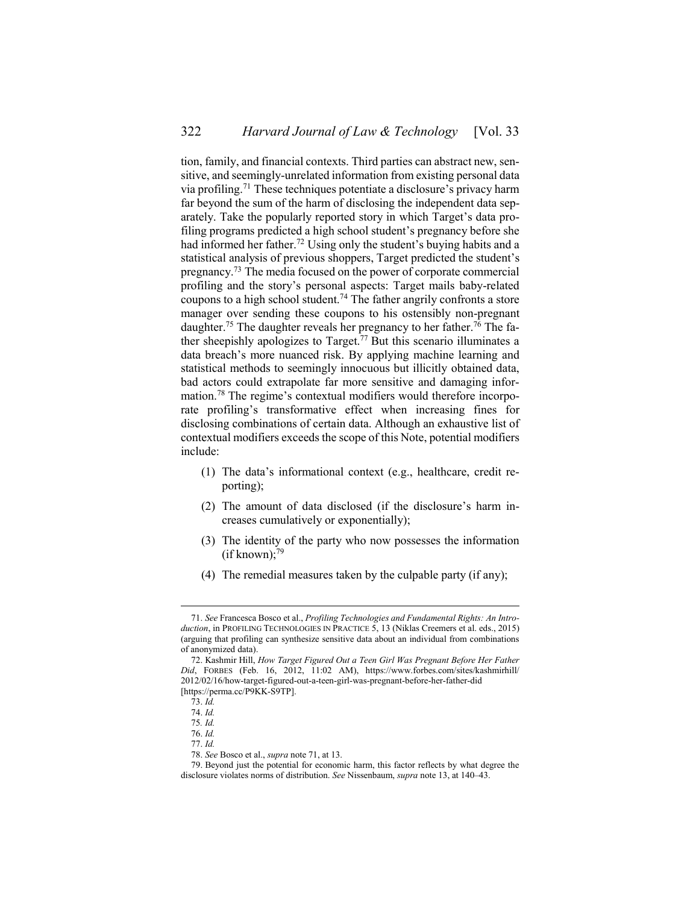<span id="page-11-0"></span>tion, family, and financial contexts. Third parties can abstract new, sensitive, and seemingly-unrelated information from existing personal data via profiling.<sup>71</sup> These techniques potentiate a disclosure's privacy harm far beyond the sum of the harm of disclosing the independent data separately. Take the popularly reported story in which Target's data profiling programs predicted a high school student's pregnancy before she had informed her father.<sup>72</sup> Using only the student's buying habits and a statistical analysis of previous shoppers, Target predicted the student's pregnancy.<sup>73</sup> The media focused on the power of corporate commercial profiling and the story's personal aspects: Target mails baby-related coupons to a high school student.<sup>74</sup> The father angrily confronts a store manager over sending these coupons to his ostensibly non-pregnant daughter.<sup>75</sup> The daughter reveals her pregnancy to her father.<sup>76</sup> The father sheepishly apologizes to Target.<sup>77</sup> But this scenario illuminates a data breach's more nuanced risk. By applying machine learning and statistical methods to seemingly innocuous but illicitly obtained data, bad actors could extrapolate far more sensitive and damaging information.<sup>78</sup> The regime's contextual modifiers would therefore incorporate profiling's transformative effect when increasing fines for disclosing combinations of certain data. Although an exhaustive list of contextual modifiers exceeds the scope of this Note, potential modifiers include:

- (1) The data's informational context (e.g., healthcare, credit reporting);
- (2) The amount of data disclosed (if the disclosure's harm increases cumulatively or exponentially);
- (3) The identity of the party who now possesses the information (if known): $^{79}$
- (4) The remedial measures taken by the culpable party (if any);

<sup>71.</sup> *See* Francesca Bosco et al., *Profiling Technologies and Fundamental Rights: An Introduction*, in PROFILING TECHNOLOGIES IN PRACTICE 5, 13 (Niklas Creemers et al. eds., 2015) (arguing that profiling can synthesize sensitive data about an individual from combinations of anonymized data).

<sup>72.</sup> Kashmir Hill, *How Target Figured Out a Teen Girl Was Pregnant Before Her Father Did*, FORBES (Feb. 16, 2012, 11:02 AM), https://www.forbes.com/sites/kashmirhill/ 2012/02/16/how-target-figured-out-a-teen-girl-was-pregnant-before-her-father-did [https://perma.cc/P9KK-S9TP].

<sup>73.</sup> *Id.*

<sup>74.</sup> *Id.*

<sup>75</sup>*. Id.*

<sup>76.</sup> *Id.*

<sup>77.</sup> *Id.*

<sup>78.</sup> *See* Bosco et al., *supra* not[e 71,](#page-11-0) at 13.

<sup>79.</sup> Beyond just the potential for economic harm, this factor reflects by what degree the disclosure violates norms of distribution. *See* Nissenbaum, *supra* not[e 13,](#page-2-2) at 140–43.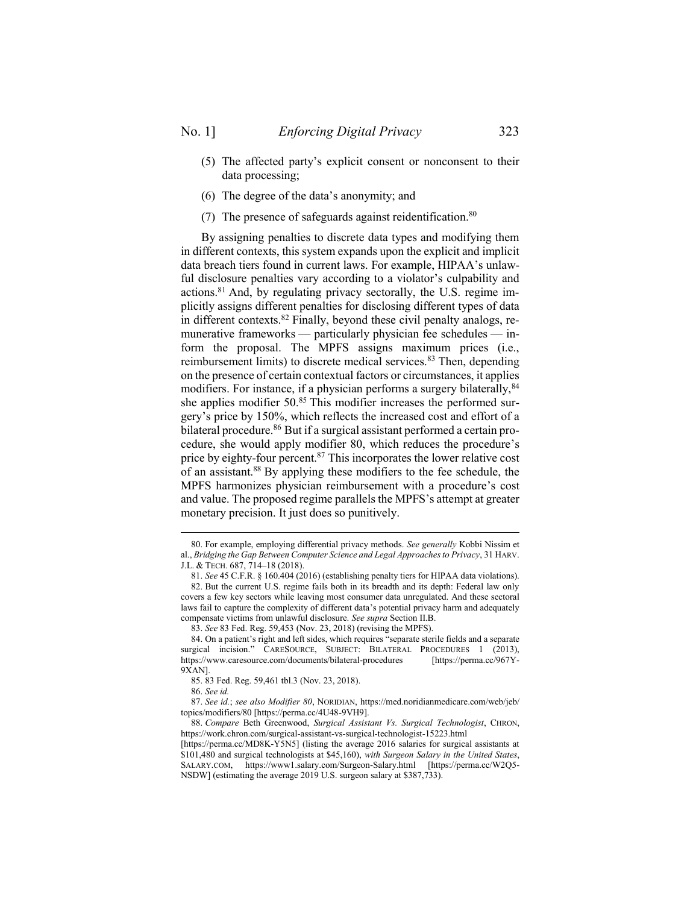- (5) The affected party's explicit consent or nonconsent to their data processing;
- (6) The degree of the data's anonymity; and
- (7) The presence of safeguards against reidentification.<sup>80</sup>

By assigning penalties to discrete data types and modifying them in different contexts, this system expands upon the explicit and implicit data breach tiers found in current laws. For example, HIPAA's unlawful disclosure penalties vary according to a violator's culpability and actions.<sup>81</sup> And, by regulating privacy sectorally, the U.S. regime implicitly assigns different penalties for disclosing different types of data in different contexts.<sup>82</sup> Finally, beyond these civil penalty analogs, remunerative frameworks — particularly physician fee schedules — inform the proposal. The MPFS assigns maximum prices (i.e., reimbursement limits) to discrete medical services.<sup>83</sup> Then, depending on the presence of certain contextual factors or circumstances, it applies modifiers. For instance, if a physician performs a surgery bilaterally, <sup>84</sup> she applies modifier 50.<sup>85</sup> This modifier increases the performed surgery's price by 150%, which reflects the increased cost and effort of a bilateral procedure.<sup>86</sup> But if a surgical assistant performed a certain procedure, she would apply modifier 80, which reduces the procedure's price by eighty-four percent.<sup>87</sup> This incorporates the lower relative cost of an assistant.<sup>88</sup> By applying these modifiers to the fee schedule, the MPFS harmonizes physician reimbursement with a procedure's cost and value. The proposed regime parallels the MPFS's attempt at greater monetary precision. It just does so punitively.

<sup>80.</sup> For example, employing differential privacy methods. *See generally* Kobbi Nissim et al., *Bridging the Gap Between Computer Science and Legal Approaches to Privacy*, 31 HARV. J.L. & TECH. 687, 714–18 (2018).

<sup>81.</sup> *See* 45 C.F.R. § 160.404 (2016) (establishing penalty tiers for HIPAA data violations). 82. But the current U.S. regime fails both in its breadth and its depth: Federal law only covers a few key sectors while leaving most consumer data unregulated. And these sectoral laws fail to capture the complexity of different data's potential privacy harm and adequately compensate victims from unlawful disclosure. *See supra* Section [II.](#page-2-0)[B.](#page-6-0)

<sup>83.</sup> *See* 83 Fed. Reg. 59,453 (Nov. 23, 2018) (revising the MPFS).

<sup>84.</sup> On a patient's right and left sides, which requires "separate sterile fields and a separate surgical incision." CARESOURCE, SUBJECT: BILATERAL PROCEDURES 1 (2013), https://www.caresource.com/documents/bilateral-procedures [https://perma.cc/967Y-9XAN].

<sup>85.</sup> 83 Fed. Reg. 59,461 tbl.3 (Nov. 23, 2018).

<sup>86.</sup> *See id.*

<sup>87.</sup> *See id.*; *see also Modifier 80*, NORIDIAN, https://med.noridianmedicare.com/web/jeb/ topics/modifiers/80 [https://perma.cc/4U48-9VH9].

<sup>88.</sup> *Compare* Beth Greenwood, *Surgical Assistant Vs. Surgical Technologist*, CHRON, https://work.chron.com/surgical-assistant-vs-surgical-technologist-15223.html

<sup>[</sup>https://perma.cc/MD8K-Y5N5] (listing the average 2016 salaries for surgical assistants at \$101,480 and surgical technologists at \$45,160), *with Surgeon Salary in the United States*, SALARY.COM, https://www1.salary.com/Surgeon-Salary.html [https://perma.cc/W2Q5- NSDW] (estimating the average 2019 U.S. surgeon salary at \$387,733).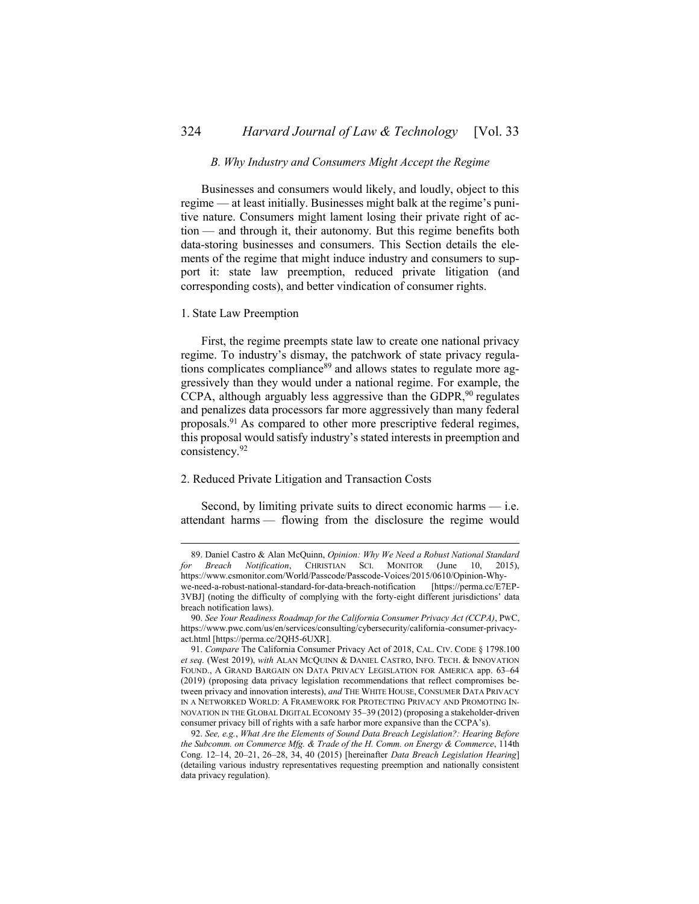### *B. Why Industry and Consumers Might Accept the Regime*

<span id="page-13-0"></span>Businesses and consumers would likely, and loudly, object to this regime — at least initially. Businesses might balk at the regime's punitive nature. Consumers might lament losing their private right of action — and through it, their autonomy. But this regime benefits both data-storing businesses and consumers. This Section details the elements of the regime that might induce industry and consumers to support it: state law preemption, reduced private litigation (and corresponding costs), and better vindication of consumer rights.

### <span id="page-13-1"></span>1. State Law Preemption

 $\overline{a}$ 

breach notification laws).

First, the regime preempts state law to create one national privacy regime. To industry's dismay, the patchwork of state privacy regulations complicates compliance<sup>89</sup> and allows states to regulate more aggressively than they would under a national regime. For example, the CCPA, although arguably less aggressive than the GDPR, $90$  regulates and penalizes data processors far more aggressively than many federal proposals.<sup>91</sup> As compared to other more prescriptive federal regimes, this proposal would satisfy industry's stated interests in preemption and consistency.<sup>92</sup>

#### <span id="page-13-4"></span><span id="page-13-3"></span><span id="page-13-2"></span>2. Reduced Private Litigation and Transaction Costs

Second, by limiting private suits to direct economic harms — i.e. attendant harms — flowing from the disclosure the regime would

<sup>89.</sup> Daniel Castro & Alan McQuinn, *Opinion: Why We Need a Robust National Standard for Breach Notification*, CHRISTIAN SCI. MONITOR (June 10, 2015), https://www.csmonitor.com/World/Passcode/Passcode-Voices/2015/0610/Opinion-Whywe-need-a-robust-national-standard-for-data-breach-notification [https://perma.cc/E7EP-3VBJ] (noting the difficulty of complying with the forty-eight different jurisdictions' data

<sup>90.</sup> *See Your Readiness Roadmap for the California Consumer Privacy Act (CCPA)*, PWC, https://www.pwc.com/us/en/services/consulting/cybersecurity/california-consumer-privacyact.html [https://perma.cc/2QH5-6UXR].

<sup>91.</sup> *Compare* The California Consumer Privacy Act of 2018, CAL. CIV. CODE § 1798.100 *et seq.* (West 2019), *with* ALAN MCQUINN & DANIEL CASTRO, INFO. TECH. & INNOVATION FOUND., A GRAND BARGAIN ON DATA PRIVACY LEGISLATION FOR AMERICA app. 63–64 (2019) (proposing data privacy legislation recommendations that reflect compromises between privacy and innovation interests), *and* THE WHITE HOUSE, CONSUMER DATA PRIVACY IN A NETWORKED WORLD: A FRAMEWORK FOR PROTECTING PRIVACY AND PROMOTING IN-NOVATION IN THE GLOBAL DIGITAL ECONOMY 35–39 (2012) (proposing a stakeholder-driven consumer privacy bill of rights with a safe harbor more expansive than the CCPA's).

<sup>92.</sup> *See, e.g.*, *What Are the Elements of Sound Data Breach Legislation?: Hearing Before the Subcomm. on Commerce Mfg. & Trade of the H. Comm. on Energy & Commerce*, 114th Cong. 12–14, 20–21, 26–28, 34, 40 (2015) [hereinafter *Data Breach Legislation Hearing*] (detailing various industry representatives requesting preemption and nationally consistent data privacy regulation).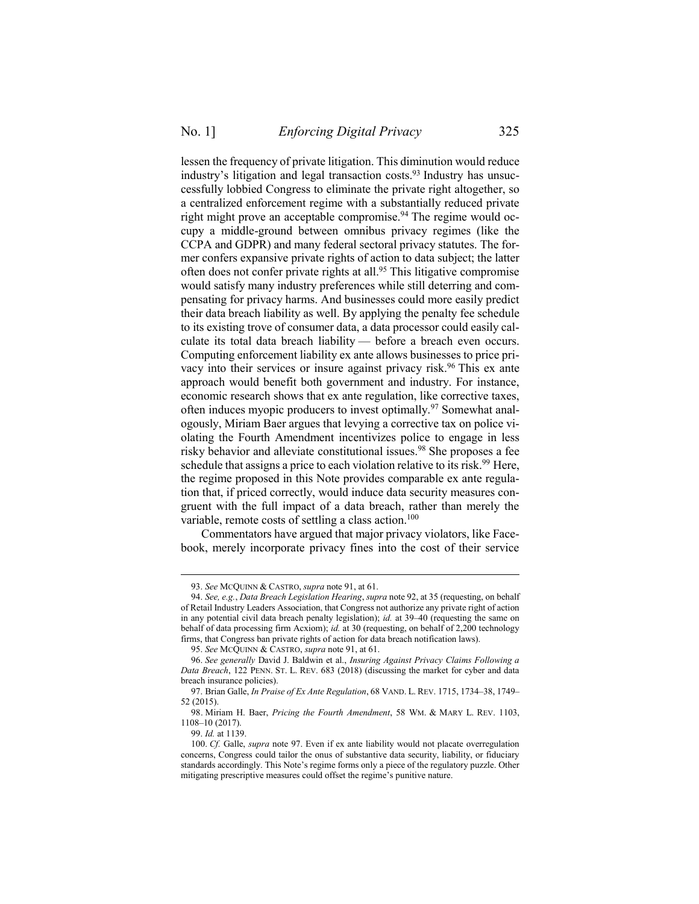lessen the frequency of private litigation. This diminution would reduce industry's litigation and legal transaction costs.<sup>93</sup> Industry has unsuccessfully lobbied Congress to eliminate the private right altogether, so a centralized enforcement regime with a substantially reduced private right might prove an acceptable compromise.<sup>94</sup> The regime would occupy a middle-ground between omnibus privacy regimes (like the CCPA and GDPR) and many federal sectoral privacy statutes. The former confers expansive private rights of action to data subject; the latter often does not confer private rights at all.<sup>95</sup> This litigative compromise would satisfy many industry preferences while still deterring and compensating for privacy harms. And businesses could more easily predict their data breach liability as well. By applying the penalty fee schedule to its existing trove of consumer data, a data processor could easily calculate its total data breach liability — before a breach even occurs. Computing enforcement liability ex ante allows businesses to price privacy into their services or insure against privacy risk.<sup>96</sup> This ex ante approach would benefit both government and industry. For instance, economic research shows that ex ante regulation, like corrective taxes, often induces myopic producers to invest optimally.<sup>97</sup> Somewhat analogously, Miriam Baer argues that levying a corrective tax on police violating the Fourth Amendment incentivizes police to engage in less risky behavior and alleviate constitutional issues.<sup>98</sup> She proposes a fee schedule that assigns a price to each violation relative to its risk.<sup>99</sup> Here, the regime proposed in this Note provides comparable ex ante regulation that, if priced correctly, would induce data security measures congruent with the full impact of a data breach, rather than merely the variable, remote costs of settling a class action.<sup>100</sup>

<span id="page-14-0"></span>Commentators have argued that major privacy violators, like Facebook, merely incorporate privacy fines into the cost of their service

<sup>93.</sup> *See* MCQUINN & CASTRO, *supra* note [91,](#page-13-3) at 61.

<sup>94.</sup> *See, e.g.*, *Data Breach Legislation Hearing*, *supra* note [92,](#page-13-4) at 35 (requesting, on behalf of Retail Industry Leaders Association, that Congress not authorize any private right of action in any potential civil data breach penalty legislation); *id.* at 39–40 (requesting the same on behalf of data processing firm Acxiom); *id.* at 30 (requesting, on behalf of 2,200 technology firms, that Congress ban private rights of action for data breach notification laws).

<sup>95.</sup> *See* MCQUINN & CASTRO, *supra* not[e 91,](#page-13-3) at 61.

<sup>96.</sup> *See generally* David J. Baldwin et al., *Insuring Against Privacy Claims Following a Data Breach*, 122 PENN. ST. L. REV. 683 (2018) (discussing the market for cyber and data breach insurance policies).

<sup>97.</sup> Brian Galle, *In Praise of Ex Ante Regulation*, 68 VAND. L. REV. 1715, 1734–38, 1749– 52 (2015).

<sup>98.</sup> Miriam H. Baer, *Pricing the Fourth Amendment*, 58 WM. & MARY L. REV. 1103, 1108–10 (2017).

<sup>99.</sup> *Id.* at 1139.

<sup>100.</sup> *Cf.* Galle, *supra* note [97.](#page-14-0) Even if ex ante liability would not placate overregulation concerns, Congress could tailor the onus of substantive data security, liability, or fiduciary standards accordingly. This Note's regime forms only a piece of the regulatory puzzle. Other mitigating prescriptive measures could offset the regime's punitive nature.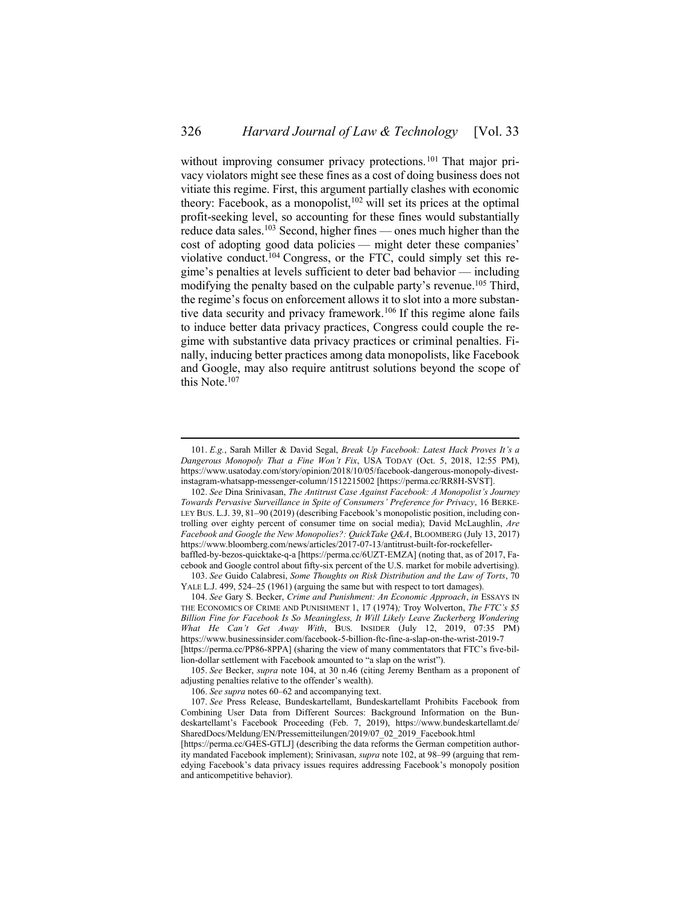<span id="page-15-1"></span><span id="page-15-0"></span>without improving consumer privacy protections.<sup>101</sup> That major privacy violators might see these fines as a cost of doing business does not vitiate this regime. First, this argument partially clashes with economic theory: Facebook, as a monopolist,  $102$  will set its prices at the optimal profit-seeking level, so accounting for these fines would substantially reduce data sales.<sup>103</sup> Second, higher fines — ones much higher than the cost of adopting good data policies — might deter these companies' violative conduct.<sup>104</sup> Congress, or the FTC, could simply set this regime's penalties at levels sufficient to deter bad behavior — including modifying the penalty based on the culpable party's revenue.<sup>105</sup> Third, the regime's focus on enforcement allows it to slot into a more substantive data security and privacy framework.<sup>106</sup> If this regime alone fails to induce better data privacy practices, Congress could couple the regime with substantive data privacy practices or criminal penalties. Finally, inducing better practices among data monopolists, like Facebook and Google, may also require antitrust solutions beyond the scope of this Note. 107

<sup>101.</sup> *E.g.*, Sarah Miller & David Segal, *Break Up Facebook: Latest Hack Proves It's a Dangerous Monopoly That a Fine Won't Fix*, USA TODAY (Oct. 5, 2018, 12:55 PM), https://www.usatoday.com/story/opinion/2018/10/05/facebook-dangerous-monopoly-divestinstagram-whatsapp-messenger-column/1512215002 [https://perma.cc/RR8H-SVST].

<sup>102.</sup> *See* Dina Srinivasan, *The Antitrust Case Against Facebook: A Monopolist's Journey Towards Pervasive Surveillance in Spite of Consumers' Preference for Privacy*, 16 BERKE-LEY BUS. L.J. 39, 81–90 (2019) (describing Facebook's monopolistic position, including controlling over eighty percent of consumer time on social media); David McLaughlin, *Are Facebook and Google the New Monopolies?: QuickTake Q&A*, BLOOMBERG (July 13, 2017) https://www.bloomberg.com/news/articles/2017-07-13/antitrust-built-for-rockefellerbaffled-by-bezos-quicktake-q-a [https://perma.cc/6UZT-EMZA] (noting that, as of 2017, Fa-

cebook and Google control about fifty-six percent of the U.S. market for mobile advertising). 103. *See* Guido Calabresi, *Some Thoughts on Risk Distribution and the Law of Torts*, 70 YALE L.J. 499, 524–25 (1961) (arguing the same but with respect to tort damages).

<sup>104.</sup> *See* Gary S. Becker, *Crime and Punishment: An Economic Approach*, *in* ESSAYS IN THE ECONOMICS OF CRIME AND PUNISHMENT 1, 17 (1974)*;* Troy Wolverton, *The FTC's \$5 Billion Fine for Facebook Is So Meaningless, It Will Likely Leave Zuckerberg Wondering What He Can't Get Away With*, BUS. INSIDER (July 12, 2019, 07:35 PM) https://www.businessinsider.com/facebook-5-billion-ftc-fine-a-slap-on-the-wrist-2019-7 [https://perma.cc/PP86-8PPA] (sharing the view of many commentators that FTC's five-billion-dollar settlement with Facebook amounted to "a slap on the wrist").

<sup>105.</sup> *See* Becker, *supra* not[e 104,](#page-15-0) at 30 n.46 (citing Jeremy Bentham as a proponent of adjusting penalties relative to the offender's wealth).

<sup>106.</sup> *See supra* note[s 60](#page-9-0)–[62](#page-9-1) and accompanying text.

<sup>107.</sup> *See* Press Release, Bundeskartellamt, Bundeskartellamt Prohibits Facebook from Combining User Data from Different Sources: Background Information on the Bundeskartellamt's Facebook Proceeding (Feb. 7, 2019), https://www.bundeskartellamt.de/ SharedDocs/Meldung/EN/Pressemitteilungen/2019/07\_02\_2019\_Facebook.html

<sup>[</sup>https://perma.cc/G4ES-GTLJ] (describing the data reforms the German competition authority mandated Facebook implement); Srinivasan, *supra* not[e 102,](#page-15-1) at 98–99 (arguing that remedying Facebook's data privacy issues requires addressing Facebook's monopoly position and anticompetitive behavior).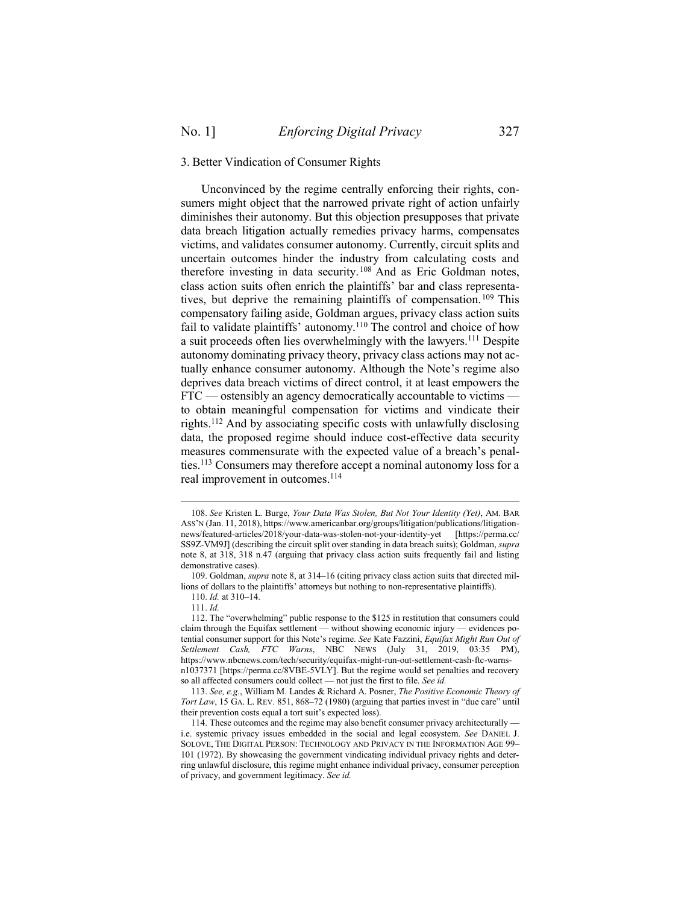### <span id="page-16-0"></span>3. Better Vindication of Consumer Rights

Unconvinced by the regime centrally enforcing their rights, consumers might object that the narrowed private right of action unfairly diminishes their autonomy. But this objection presupposes that private data breach litigation actually remedies privacy harms, compensates victims, and validates consumer autonomy. Currently, circuit splits and uncertain outcomes hinder the industry from calculating costs and therefore investing in data security. <sup>108</sup> And as Eric Goldman notes, class action suits often enrich the plaintiffs' bar and class representatives, but deprive the remaining plaintiffs of compensation.<sup>109</sup> This compensatory failing aside, Goldman argues, privacy class action suits fail to validate plaintiffs' autonomy.<sup>110</sup> The control and choice of how a suit proceeds often lies overwhelmingly with the lawyers.<sup>111</sup> Despite autonomy dominating privacy theory, privacy class actions may not actually enhance consumer autonomy. Although the Note's regime also deprives data breach victims of direct control, it at least empowers the FTC — ostensibly an agency democratically accountable to victims to obtain meaningful compensation for victims and vindicate their rights.<sup>112</sup> And by associating specific costs with unlawfully disclosing data, the proposed regime should induce cost-effective data security measures commensurate with the expected value of a breach's penalties.<sup>113</sup> Consumers may therefore accept a nominal autonomy loss for a real improvement in outcomes.<sup>114</sup>

<sup>108.</sup> *See* Kristen L. Burge, *Your Data Was Stolen, But Not Your Identity (Yet)*, AM. BAR ASS'N (Jan. 11, 2018), https://www.americanbar.org/groups/litigation/publications/litigationnews/featured-articles/2018/your-data-was-stolen-not-your-identity-yet [https://perma.cc/ SS9Z-VM9J] (describing the circuit split over standing in data breach suits); Goldman, *supra*  note [8,](#page-1-1) at 318, 318 n.47 (arguing that privacy class action suits frequently fail and listing demonstrative cases).

<sup>109.</sup> Goldman, *supra* not[e 8,](#page-1-1) at 314–16 (citing privacy class action suits that directed millions of dollars to the plaintiffs' attorneys but nothing to non-representative plaintiffs).

<sup>110.</sup> *Id.* at 310–14.

<sup>111.</sup> *Id.*

<sup>112.</sup> The "overwhelming" public response to the \$125 in restitution that consumers could claim through the Equifax settlement — without showing economic injury — evidences potential consumer support for this Note's regime. *See* Kate Fazzini, *Equifax Might Run Out of Settlement Cash, FTC Warns*, NBC NEWS (July 31, 2019, 03:35 PM), https://www.nbcnews.com/tech/security/equifax-might-run-out-settlement-cash-ftc-warnsn1037371 [https://perma.cc/8VBE-5VLY]. But the regime would set penalties and recovery so all affected consumers could collect — not just the first to file. *See id.*

<sup>113.</sup> *See, e.g.*, William M. Landes & Richard A. Posner, *The Positive Economic Theory of Tort Law*, 15 GA. L. REV. 851, 868–72 (1980) (arguing that parties invest in "due care" until their prevention costs equal a tort suit's expected loss).

<sup>114.</sup> These outcomes and the regime may also benefit consumer privacy architecturally i.e. systemic privacy issues embedded in the social and legal ecosystem. *See* DANIEL J. SOLOVE, THE DIGITAL PERSON: TECHNOLOGY AND PRIVACY IN THE INFORMATION AGE 99– 101 (1972). By showcasing the government vindicating individual privacy rights and deterring unlawful disclosure, this regime might enhance individual privacy, consumer perception of privacy, and government legitimacy. *See id.*